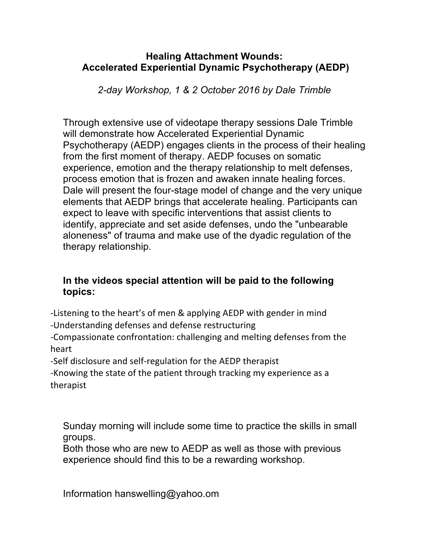## **Healing Attachment Wounds: Accelerated Experiential Dynamic Psychotherapy (AEDP)**

*2-day Workshop, 1 & 2 October 2016 by Dale Trimble*

Through extensive use of videotape therapy sessions Dale Trimble will demonstrate how Accelerated Experiential Dynamic Psychotherapy (AEDP) engages clients in the process of their healing from the first moment of therapy. AEDP focuses on somatic experience, emotion and the therapy relationship to melt defenses, process emotion that is frozen and awaken innate healing forces. Dale will present the four-stage model of change and the very unique elements that AEDP brings that accelerate healing. Participants can expect to leave with specific interventions that assist clients to identify, appreciate and set aside defenses, undo the "unbearable aloneness" of trauma and make use of the dyadic regulation of the therapy relationship.

## **In the videos special attention will be paid to the following topics:**

-Listening to the heart's of men & applying AEDP with gender in mind

- -Understanding defenses and defense restructuring
- -Compassionate confrontation: challenging and melting defenses from the heart
- -Self disclosure and self-regulation for the AEDP therapist
- -Knowing the state of the patient through tracking my experience as a therapist

Sunday morning will include some time to practice the skills in small groups.

Both those who are new to AEDP as well as those with previous experience should find this to be a rewarding workshop.

Information hanswelling@yahoo.om